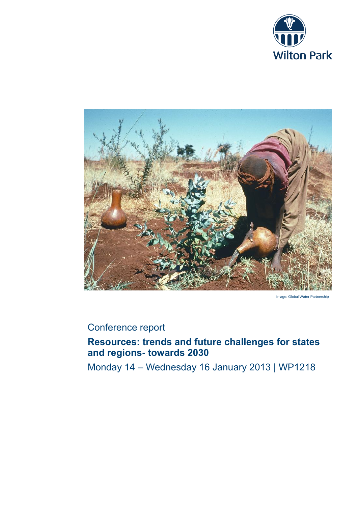



Image: Global Water Partnership

# Conference report

# **Resources: trends and future challenges for states and regions- towards 2030**

Monday 14 – Wednesday 16 January 2013 | WP1218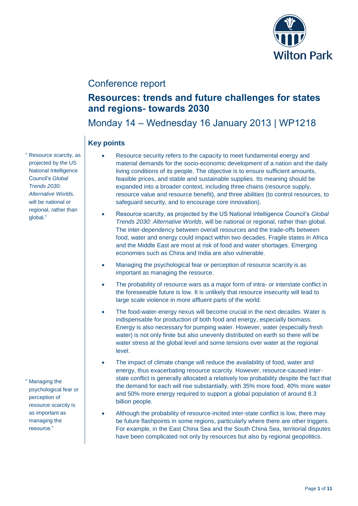

# Conference report

# **Resources: trends and future challenges for states and regions- towards 2030**

Monday 14 – Wednesday 16 January 2013 | WP1218

## **Key points**

- Resource security refers to the capacity to meet fundamental energy and material demands for the socio-economic development of a nation and the daily living conditions of its people. The objective is to ensure sufficient amounts, feasible prices, and stable and sustainable supplies. Its meaning should be expanded into a broader context, including three chains (resource supply, resource value and resource benefit), and three abilities (to control resources, to safeguard security, and to encourage core innovation).
- Resource scarcity, as projected by the US National Intelligence Council's *Global Trends 2030: Alternative Worlds*, will be national or regional, rather than global. The inter-dependency between overall resources and the trade-offs between food, water and energy could impact within two decades. Fragile states in Africa and the Middle East are most at risk of food and water shortages. Emerging economies such as China and India are also vulnerable.
- Managing the psychological fear or perception of resource scarcity is as important as managing the resource.
- The probability of resource wars as a major form of intra- or interstate conflict in the foreseeable future is low. It is unlikely that resource insecurity will lead to large scale violence in more affluent parts of the world.
- The food-water-energy nexus will become crucial in the next decades. Water is indispensable for production of both food and energy, especially biomass. Energy is also necessary for pumping water. However, water (especially fresh water) is not only finite but also unevenly distributed on earth so there will be water stress at the global level and some tensions over water at the regional level.
- The impact of climate change will reduce the availability of food, water and energy, thus exacerbating resource scarcity. However, resource-caused interstate conflict is generally allocated a relatively low probability despite the fact that the demand for each will rise substantially, with 35% more food, 40% more water and 50% more energy required to support a global population of around 8.3 billion people.
- Although the probability of resource-incited inter-state conflict is low, there may be future flashpoints in some regions, particularly where there are other triggers. For example, in the East China Sea and the South China Sea, territorial disputes have been complicated not only by resources but also by regional geopolitics.

" Resource scarcity, as projected by the US National Intelligence Council's *Global Trends 2030: Alternative Worlds*, will be national or regional, rather than global."

" Managing the psychological fear or perception of resource scarcity is as important as managing the resource."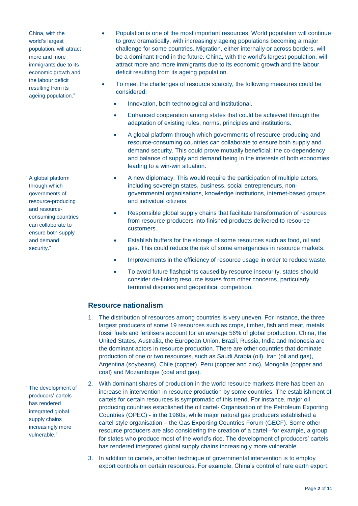" China, with the world's largest population, will attract more and more immigrants due to its economic growth and the labour deficit resulting from its ageing population."

" A global platform through which governments of resource-producing and resourceconsuming countries can collaborate to ensure both supply and demand security."

" The development of producers' cartels has rendered integrated global supply chains increasingly more vulnerable."

- Population is one of the most important resources. World population will continue to grow dramatically, with increasingly ageing populations becoming a major challenge for some countries. Migration, either internally or across borders, will be a dominant trend in the future. China, with the world's largest population, will attract more and more immigrants due to its economic growth and the labour deficit resulting from its ageing population.
- To meet the challenges of resource scarcity, the following measures could be considered:
	- Innovation, both technological and institutional.
	- Enhanced cooperation among states that could be achieved through the adaptation of existing rules, norms, principles and institutions.
	- A global platform through which governments of resource-producing and resource-consuming countries can collaborate to ensure both supply and demand security. This could prove mutually beneficial: the co-dependency and balance of supply and demand being in the interests of both economies leading to a win-win situation.
	- A new diplomacy. This would require the participation of multiple actors, including sovereign states, business, social entrepreneurs, nongovernmental organisations, knowledge institutions, internet-based groups and individual citizens.
	- Responsible global supply chains that facilitate transformation of resources from resource-producers into finished products delivered to resourcecustomers.
	- Establish buffers for the storage of some resources such as food, oil and gas. This could reduce the risk of some emergencies in resource markets.
	- Improvements in the efficiency of resource usage in order to reduce waste.
	- To avoid future flashpoints caused by resource insecurity, states should consider de-linking resource issues from other concerns, particularly territorial disputes and geopolitical competition.

#### **Resource nationalism**

- 1. The distribution of resources among countries is very uneven. For instance, the three largest producers of some 19 resources such as crops, timber, fish and meat, metals, fossil fuels and fertilisers account for an average 56% of global production. China, the United States, Australia, the European Union, Brazil, Russia, India and Indonesia are the dominant actors in resource production. There are other countries that dominate production of one or two resources, such as Saudi Arabia (oil), Iran (oil and gas), Argentina (soybeans), Chile (copper), Peru (copper and zinc), Mongolia (copper and coal) and Mozambique (coal and gas).
- 2. With dominant shares of production in the world resource markets there has been an increase in intervention in resource production by some countries. The establishment of cartels for certain resources is symptomatic of this trend. For instance, major oil producing countries established the oil cartel- Organisation of the Petroleum Exporting Countries (OPEC) - in the 1960s, while major natural gas producers established a cartel-style organisation – the Gas Exporting Countries Forum (GECF). Some other resource producers are also considering the creation of a cartel –for example, a group for states who produce most of the world's rice. The development of producers' cartels has rendered integrated global supply chains increasingly more vulnerable.
- 3. In addition to cartels, another technique of governmental intervention is to employ export controls on certain resources. For example, China's control of rare earth export.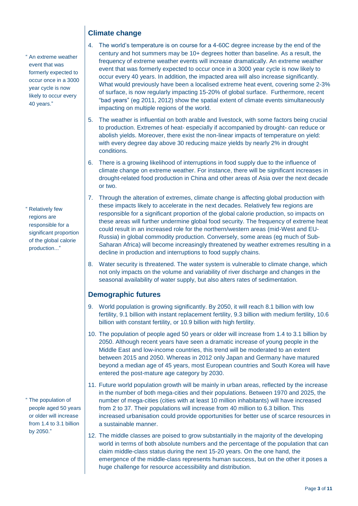## **Climate change**

" An extreme weather event that was formerly expected to occur once in a 3000 year cycle is now likely to occur every 40 years."

" Relatively few regions are responsible for a significant proportion of the global calorie production..."

" The population of people aged 50 years or older will increase from 1.4 to 3.1 billion by 2050."

#### 4. The world's temperature is on course for a 4-60C degree increase by the end of the century and hot summers may be 10+ degrees hotter than baseline. As a result, the frequency of extreme weather events will increase dramatically. An extreme weather event that was formerly expected to occur once in a 3000 year cycle is now likely to occur every 40 years. In addition, the impacted area will also increase significantly. What would previously have been a localised extreme heat event, covering some 2-3% of surface, is now regularly impacting 15-20% of global surface. Furthermore, recent "bad years" (eg 2011, 2012) show the spatial extent of climate events simultaneously

impacting on multiple regions of the world.

- 5. The weather is influential on both arable and livestock, with some factors being crucial to production. Extremes of heat- especially if accompanied by drought- can reduce or abolish yields. Moreover, there exist the non-linear impacts of temperature on yield: with every degree day above 30 reducing maize yields by nearly 2% in drought conditions.
- 6. There is a growing likelihood of interruptions in food supply due to the influence of climate change on extreme weather. For instance, there will be significant increases in drought-related food production in China and other areas of Asia over the next decade or two.
- 7. Through the alteration of extremes, climate change is affecting global production with these impacts likely to accelerate in the next decades. Relatively few regions are responsible for a significant proportion of the global calorie production, so impacts on these areas will further undermine global food security. The frequency of extreme heat could result in an increased role for the northern/western areas (mid-West and EU-Russia) in global commodity production. Conversely, some areas (eg much of Sub-Saharan Africa) will become increasingly threatened by weather extremes resulting in a decline in production and interruptions to food supply chains.
- 8. Water security is threatened. The water system is vulnerable to climate change, which not only impacts on the volume and variability of river discharge and changes in the seasonal availability of water supply, but also alters rates of sedimentation.

### **Demographic futures**

- 9. World population is growing significantly. By 2050, it will reach 8.1 billion with low fertility, 9.1 billion with instant replacement fertility, 9.3 billion with medium fertility, 10.6 billion with constant fertility, or 10.9 billion with high fertility.
- 10. The population of people aged 50 years or older will increase from 1.4 to 3.1 billion by 2050. Although recent years have seen a dramatic increase of young people in the Middle East and low-income countries, this trend will be moderated to an extent between 2015 and 2050. Whereas in 2012 only Japan and Germany have matured beyond a median age of 45 years, most European countries and South Korea will have entered the post-mature age category by 2030.
- 11. Future world population growth will be mainly in urban areas, reflected by the increase in the number of both mega-cities and their populations. Between 1970 and 2025, the number of mega-cities (cities with at least 10 million inhabitants) will have increased from 2 to 37. Their populations will increase from 40 million to 6.3 billion. This increased urbanisation could provide opportunities for better use of scarce resources in a sustainable manner.
- 12. The middle classes are poised to grow substantially in the majority of the developing world in terms of both absolute numbers and the percentage of the population that can claim middle-class status during the next 15-20 years. On the one hand, the emergence of the middle-class represents human success, but on the other it poses a huge challenge for resource accessibility and distribution.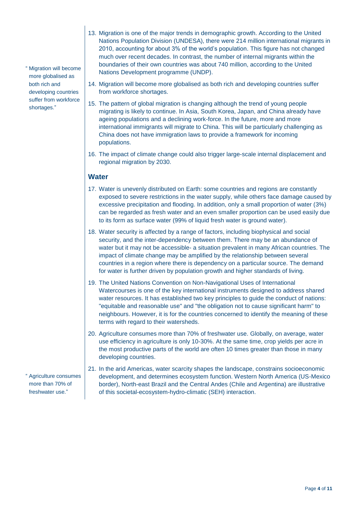- " Migration will become more globalised as both rich and developing countries suffer from workforce shortages."
- 13. Migration is one of the major trends in demographic growth. According to the United Nations Population Division (UNDESA), there were 214 million international migrants in 2010, accounting for about 3% of the world's population. This figure has not changed much over recent decades. In contrast, the number of internal migrants within the boundaries of their own countries was about 740 million, according to the United Nations Development programme (UNDP).
- 14. Migration will become more globalised as both rich and developing countries suffer from workforce shortages.
- 15. The pattern of global migration is changing although the trend of young people migrating is likely to continue. In Asia, South Korea, Japan, and China already have ageing populations and a declining work-force. In the future, more and more international immigrants will migrate to China. This will be particularly challenging as China does not have immigration laws to provide a framework for incoming populations.
- 16. The impact of climate change could also trigger large-scale internal displacement and regional migration by 2030.

### **Water**

- 17. Water is unevenly distributed on Earth: some countries and regions are constantly exposed to severe restrictions in the water supply, while others face damage caused by excessive precipitation and flooding. In addition, only a small proportion of water (3%) can be regarded as fresh water and an even smaller proportion can be used easily due to its form as surface water (99% of liquid fresh water is ground water).
- 18. Water security is affected by a range of factors, including biophysical and social security, and the inter-dependency between them. There may be an abundance of water but it may not be accessible- a situation prevalent in many African countries. The impact of climate change may be amplified by the relationship between several countries in a region where there is dependency on a particular source. The demand for water is further driven by population growth and higher standards of living.
- 19. The United Nations Convention on Non-Navigational Uses of International Watercourses is one of the key international instruments designed to address shared water resources. It has established two key principles to guide the conduct of nations: "equitable and reasonable use" and "the obligation not to cause significant harm" to neighbours. However, it is for the countries concerned to identify the meaning of these terms with regard to their watersheds.
- 20. Agriculture consumes more than 70% of freshwater use. Globally, on average, water use efficiency in agriculture is only 10-30%. At the same time, crop yields per acre in the most productive parts of the world are often 10 times greater than those in many developing countries.

" Agriculture consumes more than 70% of freshwater use."

21. In the arid Americas, water scarcity shapes the landscape, constrains socioeconomic development, and determines ecosystem function. Western North America (US-Mexico border), North-east Brazil and the Central Andes (Chile and Argentina) are illustrative of this societal-ecosystem-hydro-climatic (SEH) interaction.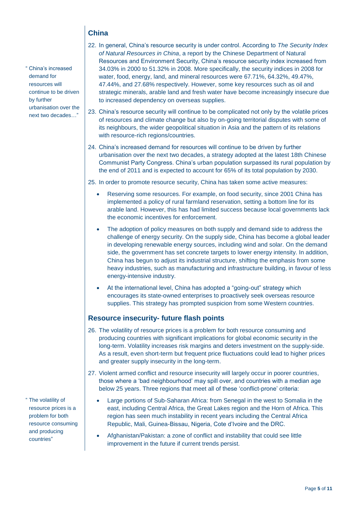## **China**

- " China's increased demand for resources will continue to be driven by further urbanisation over the next two decades…"
- 22. In general, China's resource security is under control. According to *The Security Index of Natural Resources in China*, a report by the Chinese Department of Natural Resources and Environment Security, China's resource security index increased from 34.03% in 2000 to 51.32% in 2008. More specifically, the security indices in 2008 for water, food, energy, land, and mineral resources were 67.71%, 64.32%, 49.47%, 47.44%, and 27.68% respectively. However, some key resources such as oil and strategic minerals, arable land and fresh water have become increasingly insecure due to increased dependency on overseas supplies.
- 23. China's resource security will continue to be complicated not only by the volatile prices of resources and climate change but also by on-going territorial disputes with some of its neighbours, the wider geopolitical situation in Asia and the pattern of its relations with resource-rich regions/countries.
- 24. China's increased demand for resources will continue to be driven by further urbanisation over the next two decades, a strategy adopted at the latest 18th Chinese Communist Party Congress. China's urban population surpassed its rural population by the end of 2011 and is expected to account for 65% of its total population by 2030.

25. In order to promote resource security, China has taken some active measures:

- Reserving some resources. For example, on food security, since 2001 China has implemented a policy of rural farmland reservation, setting a bottom line for its arable land. However, this has had limited success because local governments lack the economic incentives for enforcement.
- The adoption of policy measures on both supply and demand side to address the challenge of energy security. On the supply side, China has become a global leader in developing renewable energy sources, including wind and solar. On the demand side, the government has set concrete targets to lower energy intensity. In addition, China has begun to adjust its industrial structure, shifting the emphasis from some heavy industries, such as manufacturing and infrastructure building, in favour of less energy-intensive industry.
- At the international level, China has adopted a "going-out" strategy which encourages its state-owned enterprises to proactively seek overseas resource supplies. This strategy has prompted suspicion from some Western countries.

#### **Resource insecurity- future flash points**

- 26. The volatility of resource prices is a problem for both resource consuming and producing countries with significant implications for global economic security in the long-term. Volatility increases risk margins and deters investment on the supply-side. As a result, even short-term but frequent price fluctuations could lead to higher prices and greater supply insecurity in the long-term.
- 27. Violent armed conflict and resource insecurity will largely occur in poorer countries, those where a 'bad neighbourhood' may spill over, and countries with a median age below 25 years. Three regions that meet all of these 'conflict-prone' criteria:
	- Large portions of Sub-Saharan Africa: from Senegal in the west to Somalia in the east, including Central Africa, the Great Lakes region and the Horn of Africa. This region has seen much instability in recent years including the Central Africa Republic, Mali, Guinea-Bissau, Nigeria, Cote d'Ivoire and the DRC.
	- Afghanistan/Pakistan: a zone of conflict and instability that could see little improvement in the future if current trends persist.

" The volatility of resource prices is a problem for both resource consuming and producing countries"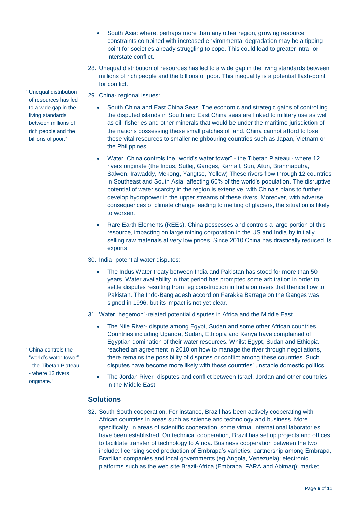- South Asia: where, perhaps more than any other region, growing resource constraints combined with increased environmental degradation may be a tipping point for societies already struggling to cope. This could lead to greater intra- or interstate conflict.
- 28. Unequal distribution of resources has led to a wide gap in the living standards between millions of rich people and the billions of poor. This inequality is a potential flash-point for conflict.
- 29. China- regional issues:
	- South China and East China Seas. The economic and strategic gains of controlling the disputed islands in South and East China seas are linked to military use as well as oil, fisheries and other minerals that would be under the maritime jurisdiction of the nations possessing these small patches of land. China cannot afford to lose these vital resources to smaller neighbouring countries such as Japan, Vietnam or the Philippines.
	- Water. China controls the "world's water tower" the Tibetan Plateau where 12 rivers originate (the Indus, Sutlej, Ganges, Karnall, Sun, Atun, Brahmaputra, Salwen, Irawaddy, Mekong, Yangtse, Yellow) These rivers flow through 12 countries in Southeast and South Asia, affecting 60% of the world's population. The disruptive potential of water scarcity in the region is extensive, with China's plans to further develop hydropower in the upper streams of these rivers. Moreover, with adverse consequences of climate change leading to melting of glaciers, the situation is likely to worsen.
	- Rare Earth Elements (REEs). China possesses and controls a large portion of this resource, impacting on large mining corporation in the US and India by initially selling raw materials at very low prices. Since 2010 China has drastically reduced its exports.

30. India- potential water disputes:

 The Indus Water treaty between India and Pakistan has stood for more than 50 years. Water availability in that period has prompted some arbitration in order to settle disputes resulting from, eg construction in India on rivers that thence flow to Pakistan. The Indo-Bangladesh accord on Farakka Barrage on the Ganges was signed in 1996, but its impact is not yet clear.

31. Water "hegemon"-related potential disputes in Africa and the Middle East

- The Nile River- dispute among Egypt, Sudan and some other African countries. Countries including Uganda, Sudan, Ethiopia and Kenya have complained of Egyptian domination of their water resources. Whilst Egypt, Sudan and Ethiopia reached an agreement in 2010 on how to manage the river through negotiations, there remains the possibility of disputes or conflict among these countries. Such disputes have become more likely with these countries' unstable domestic politics.
- The Jordan River- disputes and conflict between Israel, Jordan and other countries in the Middle East.

#### **Solutions**

32. South-South cooperation. For instance, Brazil has been actively cooperating with African countries in areas such as science and technology and business. More specifically, in areas of scientific cooperation, some virtual international laboratories have been established. On technical cooperation, Brazil has set up projects and offices to facilitate transfer of technology to Africa. Business cooperation between the two include: licensing seed production of Embrapa's varieties; partnership among Embrapa, Brazilian companies and local governments (eg Angola, Venezuela); electronic platforms such as the web site Brazil-Africa (Embrapa, FARA and Abimaq); market

" Unequal distribution of resources has led to a wide gap in the living standards between millions of rich people and the billions of poor."

" China controls the "world's water tower" - the Tibetan Plateau - where 12 rivers originate."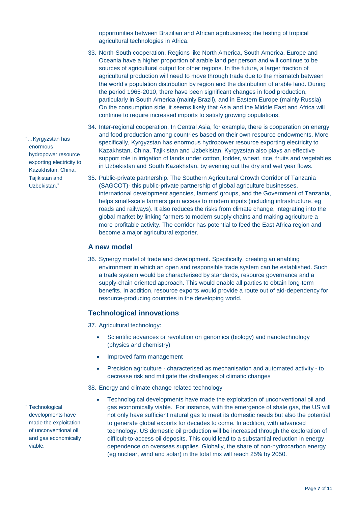opportunities between Brazilian and African agribusiness; the testing of tropical agricultural technologies in Africa.

- 33. North-South cooperation. Regions like North America, South America, Europe and Oceania have a higher proportion of arable land per person and will continue to be sources of agricultural output for other regions. In the future, a larger fraction of agricultural production will need to move through trade due to the mismatch between the world's population distribution by region and the distribution of arable land. During the period 1965-2010, there have been significant changes in food production, particularly in South America (mainly Brazil), and in Eastern Europe (mainly Russia). On the consumption side, it seems likely that Asia and the Middle East and Africa will continue to require increased imports to satisfy growing populations.
- 34. Inter-regional cooperation. In Central Asia, for example, there is cooperation on energy and food production among countries based on their own resource endowments. More specifically, Kyrgyzstan has enormous hydropower resource exporting electricity to Kazakhstan, China, Tajikistan and Uzbekistan. Kyrgyzstan also plays an effective support role in irrigation of lands under cotton, fodder, wheat, rice, fruits and vegetables in Uzbekistan and South Kazakhstan, by evening out the dry and wet year flows.
- 35. Public-private partnership. The Southern Agricultural Growth Corridor of Tanzania (SAGCOT)- this public-private partnership of global agriculture businesses, international development agencies, farmers' groups, and the Government of Tanzania, helps small-scale farmers gain access to modern inputs (including infrastructure, eg roads and railways). It also reduces the risks from climate change, integrating into the global market by linking farmers to modern supply chains and making agriculture a more profitable activity. The corridor has potential to feed the East Africa region and become a major agricultural exporter.

#### **A new model**

36. Synergy model of trade and development. Specifically, creating an enabling environment in which an open and responsible trade system can be established. Such a trade system would be characterised by standards, resource governance and a supply-chain oriented approach. This would enable all parties to obtain long-term benefits. In addition, resource exports would provide a route out of aid-dependency for resource-producing countries in the developing world.

## **Technological innovations**

37. Agricultural technology:

- Scientific advances or revolution on genomics (biology) and nanotechnology (physics and chemistry)
- Improved farm management
- Precision agriculture characterised as mechanisation and automated activity to decrease risk and mitigate the challenges of climatic changes

38. Energy and climate change related technology

 Technological developments have made the exploitation of unconventional oil and gas economically viable. For instance, with the emergence of shale gas, the US will not only have sufficient natural gas to meet its domestic needs but also the potential to generate global exports for decades to come. In addition, with advanced technology, US domestic oil production will be increased through the exploration of difficult-to-access oil deposits. This could lead to a substantial reduction in energy dependence on overseas supplies. Globally, the share of non-hydrocarbon energy (eg nuclear, wind and solar) in the total mix will reach 25% by 2050.

"…Kyrgyzstan has enormous hydropower resource exporting electricity to Kazakhstan, China, Tajikistan and Uzbekistan."

" Technological developments have made the exploitation of unconventional oil and gas economically viable.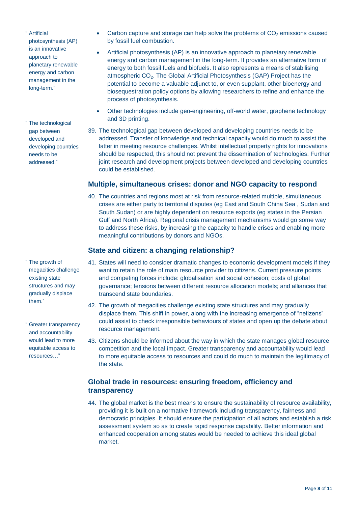- " Artificial photosynthesis (AP) is an innovative approach to planetary renewable energy and carbon management in the long-term."
- " The technological gap between developed and developing countries needs to be addressed."

- " The growth of megacities challenge existing state structures and may gradually displace them."
- " Greater transparency and accountability would lead to more equitable access to resources…"
- Carbon capture and storage can help solve the problems of  $CO<sub>2</sub>$  emissions caused by fossil fuel combustion.
- Artificial photosynthesis (AP) is an innovative approach to planetary renewable energy and carbon management in the long-term. It provides an alternative form of energy to both fossil fuels and biofuels. It also represents a means of stabilising atmospheric CO<sub>2</sub>. The Global Artificial Photosynthesis (GAP) Project has the potential to become a valuable adjunct to, or even supplant, other bioenergy and biosequestration policy options by allowing researchers to refine and enhance the process of photosynthesis.
- Other technologies include geo-engineering, off-world water, graphene technology and 3D printing.
- 39. The technological gap between developed and developing countries needs to be addressed. Transfer of knowledge and technical capacity would do much to assist the latter in meeting resource challenges. Whilst intellectual property rights for innovations should be respected, this should not prevent the dissemination of technologies. Further joint research and development projects between developed and developing countries could be established.

#### **Multiple, simultaneous crises: donor and NGO capacity to respond**

40. The countries and regions most at risk from resource-related multiple, simultaneous crises are either party to territorial disputes (eg East and South China Sea , Sudan and South Sudan) or are highly dependent on resource exports (eg states in the Persian Gulf and North Africa). Regional crisis management mechanisms would go some way to address these risks, by increasing the capacity to handle crises and enabling more meaningful contributions by donors and NGOs.

### **State and citizen: a changing relationship?**

- 41. States will need to consider dramatic changes to economic development models if they want to retain the role of main resource provider to citizens. Current pressure points and competing forces include: globalisation and social cohesion; costs of global governance; tensions between different resource allocation models; and alliances that transcend state boundaries.
- 42. The growth of megacities challenge existing state structures and may gradually displace them. This shift in power, along with the increasing emergence of "netizens" could assist to check irresponsible behaviours of states and open up the debate about resource management.
- 43. Citizens should be informed about the way in which the state manages global resource competition and the local impact. Greater transparency and accountability would lead to more equitable access to resources and could do much to maintain the legitimacy of the state.

### **Global trade in resources: ensuring freedom, efficiency and transparency**

44. The global market is the best means to ensure the sustainability of resource availability, providing it is built on a normative framework including transparency, fairness and democratic principles. It should ensure the participation of all actors and establish a risk assessment system so as to create rapid response capability. Better information and enhanced cooperation among states would be needed to achieve this ideal global market.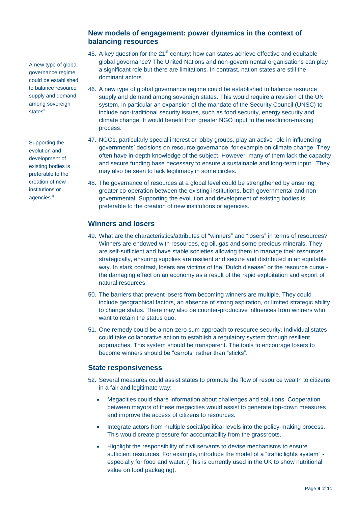" A new type of global governance regime could be established to balance resource supply and demand among sovereign states"

" Supporting the evolution and development of existing bodies is preferable to the creation of new institutions or agencies."

#### **New models of engagement: power dynamics in the context of balancing resources**

- 45. A key question for the  $21<sup>st</sup>$  century: how can states achieve effective and equitable global governance? The United Nations and non-governmental organisations can play a significant role but there are limitations. In contrast, nation states are still the dominant actors.
- 46. A new type of global governance regime could be established to balance resource supply and demand among sovereign states. This would require a revision of the UN system, in particular an expansion of the mandate of the Security Council (UNSC) to include non-traditional security issues, such as food security, energy security and climate change. It would benefit from greater NGO input to the resolution-making process.
- 47. NGOs, particularly special interest or lobby groups, play an active role in influencing governments' decisions on resource governance, for example on climate change. They often have in-depth knowledge of the subject. However, many of them lack the capacity and secure funding base necessary to ensure a sustainable and long-term input. They may also be seen to lack legitimacy in some circles.
- 48. The governance of resources at a global level could be strengthened by ensuring greater co-operation between the existing institutions, both governmental and nongovernmental. Supporting the evolution and development of existing bodies is preferable to the creation of new institutions or agencies.

### **Winners and losers**

- 49. What are the characteristics/attributes of "winners" and "losers" in terms of resources? Winners are endowed with resources, eg oil, gas and some precious minerals. They are self-sufficient and have stable societies allowing them to manage their resources strategically, ensuring supplies are resilient and secure and distributed in an equitable way. In stark contrast, losers are victims of the "Dutch disease" or the resource curse the damaging effect on an economy as a result of the rapid exploitation and export of natural resources.
- 50. The barriers that prevent losers from becoming winners are multiple. They could include geographical factors, an absence of strong aspiration, or limited strategic ability to change status. There may also be counter-productive influences from winners who want to retain the status quo.
- 51. One remedy could be a non-zero sum approach to resource security. Individual states could take collaborative action to establish a regulatory system through resilient approaches. This system should be transparent. The tools to encourage losers to become winners should be "carrots" rather than "sticks".

### **State responsiveness**

- 52. Several measures could assist states to promote the flow of resource wealth to citizens in a fair and legitimate way:
	- Megacities could share information about challenges and solutions. Cooperation between mayors of these megacities would assist to generate top-down measures and improve the access of citizens to resources.
	- Integrate actors from multiple social/political levels into the policy-making process. This would create pressure for accountability from the grassroots.
	- Highlight the responsibility of civil servants to devise mechanisms to ensure sufficient resources. For example, introduce the model of a "traffic lights system" especially for food and water. (This is currently used in the UK to show nutritional value on food packaging).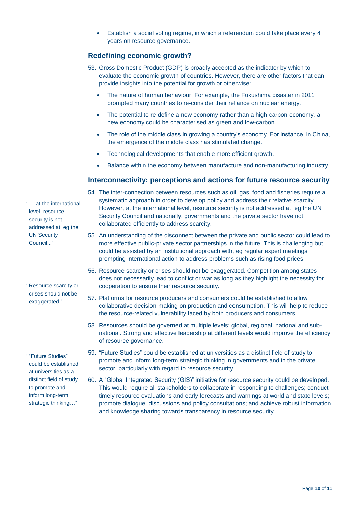Establish a social voting regime, in which a referendum could take place every 4 years on resource governance.

#### **Redefining economic growth?**

- 53. Gross Domestic Product (GDP) is broadly accepted as the indicator by which to evaluate the economic growth of countries. However, there are other factors that can provide insights into the potential for growth or otherwise:
	- The nature of human behaviour. For example, the Fukushima disaster in 2011 prompted many countries to re-consider their reliance on nuclear energy.
	- The potential to re-define a new economy-rather than a high-carbon economy, a new economy could be characterised as green and low-carbon.
	- The role of the middle class in growing a country's economy. For instance, in China, the emergence of the middle class has stimulated change.
	- Technological developments that enable more efficient growth.
	- Balance within the economy between manufacture and non-manufacturing industry.

#### **Interconnectivity: perceptions and actions for future resource security**

- 54. The inter-connection between resources such as oil, gas, food and fisheries require a systematic approach in order to develop policy and address their relative scarcity. However, at the international level, resource security is not addressed at, eg the UN Security Council and nationally, governments and the private sector have not collaborated efficiently to address scarcity.
- 55. An understanding of the disconnect between the private and public sector could lead to more effective public-private sector partnerships in the future. This is challenging but could be assisted by an institutional approach with, eg regular expert meetings prompting international action to address problems such as rising food prices.
- 56. Resource scarcity or crises should not be exaggerated. Competition among states does not necessarily lead to conflict or war as long as they highlight the necessity for cooperation to ensure their resource security.
- 57. Platforms for resource producers and consumers could be established to allow collaborative decision-making on production and consumption. This will help to reduce the resource-related vulnerability faced by both producers and consumers.
- 58. Resources should be governed at multiple levels: global, regional, national and subnational. Strong and effective leadership at different levels would improve the efficiency of resource governance.
- 59. "Future Studies" could be established at universities as a distinct field of study to promote and inform long-term strategic thinking in governments and in the private sector, particularly with regard to resource security.
- 60. A "Global Integrated Security (GIS)" initiative for resource security could be developed. This would require all stakeholders to collaborate in responding to challenges; conduct timely resource evaluations and early forecasts and warnings at world and state levels; promote dialogue, discussions and policy consultations; and achieve robust information and knowledge sharing towards transparency in resource security.

" … at the international level, resource security is not addressed at, eg the UN Security Council..."

" Resource scarcity or crises should not be exaggerated."

" "Future Studies" could be established at universities as a distinct field of study to promote and inform long-term strategic thinking…"